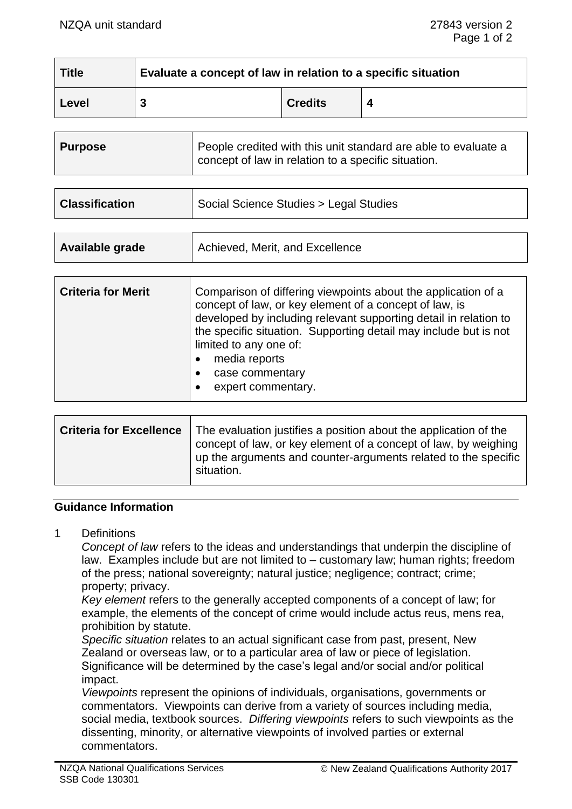| <b>Title</b> | Evaluate a concept of law in relation to a specific situation |                |  |
|--------------|---------------------------------------------------------------|----------------|--|
| Level        |                                                               | <b>Credits</b> |  |

| <b>Purpose</b> | People credited with this unit standard are able to evaluate a<br>concept of law in relation to a specific situation. |
|----------------|-----------------------------------------------------------------------------------------------------------------------|
|----------------|-----------------------------------------------------------------------------------------------------------------------|

| <b>Classification</b> | Social Science Studies > Legal Studies |
|-----------------------|----------------------------------------|
|                       |                                        |

| Achieved, Merit, and Excellence<br>Available grade |
|----------------------------------------------------|
|----------------------------------------------------|

| Comparison of differing viewpoints about the application of a<br>concept of law, or key element of a concept of law, is<br>developed by including relevant supporting detail in relation to<br>the specific situation. Supporting detail may include but is not<br>limited to any one of:<br>media reports<br>case commentary<br>expert commentary. |
|-----------------------------------------------------------------------------------------------------------------------------------------------------------------------------------------------------------------------------------------------------------------------------------------------------------------------------------------------------|
|                                                                                                                                                                                                                                                                                                                                                     |
|                                                                                                                                                                                                                                                                                                                                                     |

| <b>Criteria for Excellence</b> | The evaluation justifies a position about the application of the<br>concept of law, or key element of a concept of law, by weighing<br>up the arguments and counter-arguments related to the specific<br>situation. |
|--------------------------------|---------------------------------------------------------------------------------------------------------------------------------------------------------------------------------------------------------------------|
|                                |                                                                                                                                                                                                                     |

## **Guidance Information**

1 Definitions

*Concept of law* refers to the ideas and understandings that underpin the discipline of law. Examples include but are not limited to – customary law; human rights; freedom of the press; national sovereignty; natural justice; negligence; contract; crime; property; privacy.

*Key element* refers to the generally accepted components of a concept of law; for example, the elements of the concept of crime would include actus reus, mens rea, prohibition by statute.

*Specific situation* relates to an actual significant case from past, present, New Zealand or overseas law, or to a particular area of law or piece of legislation. Significance will be determined by the case's legal and/or social and/or political impact.

*Viewpoints* represent the opinions of individuals, organisations, governments or commentators. Viewpoints can derive from a variety of sources including media, social media, textbook sources. *Differing viewpoints* refers to such viewpoints as the dissenting, minority, or alternative viewpoints of involved parties or external commentators.